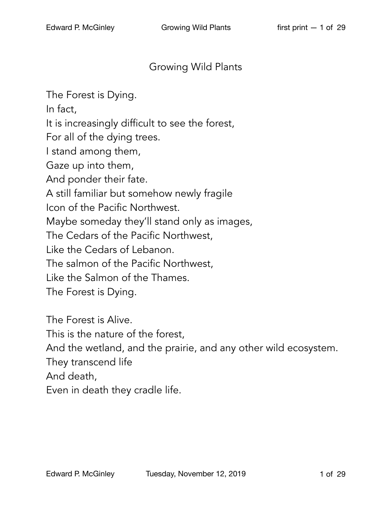## Growing Wild Plants

The Forest is Dying. In fact, It is increasingly difficult to see the forest, For all of the dying trees. I stand among them, Gaze up into them, And ponder their fate. A still familiar but somehow newly fragile Icon of the Pacific Northwest. Maybe someday they'll stand only as images, The Cedars of the Pacific Northwest, Like the Cedars of Lebanon. The salmon of the Pacific Northwest, Like the Salmon of the Thames. The Forest is Dying.

The Forest is Alive. This is the nature of the forest, And the wetland, and the prairie, and any other wild ecosystem. They transcend life And death, Even in death they cradle life.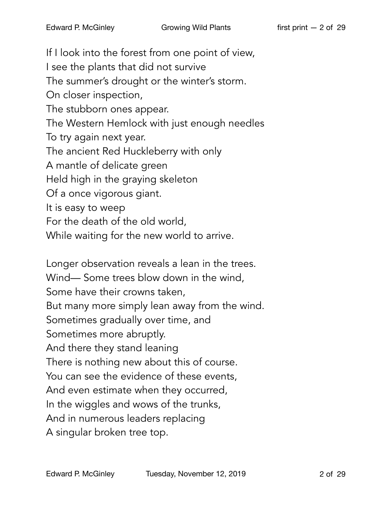If I look into the forest from one point of view, I see the plants that did not survive The summer's drought or the winter's storm. On closer inspection, The stubborn ones appear. The Western Hemlock with just enough needles To try again next year. The ancient Red Huckleberry with only A mantle of delicate green Held high in the graying skeleton Of a once vigorous giant. It is easy to weep For the death of the old world, While waiting for the new world to arrive.

Longer observation reveals a lean in the trees. Wind— Some trees blow down in the wind, Some have their crowns taken, But many more simply lean away from the wind. Sometimes gradually over time, and Sometimes more abruptly. And there they stand leaning There is nothing new about this of course. You can see the evidence of these events, And even estimate when they occurred, In the wiggles and wows of the trunks, And in numerous leaders replacing A singular broken tree top.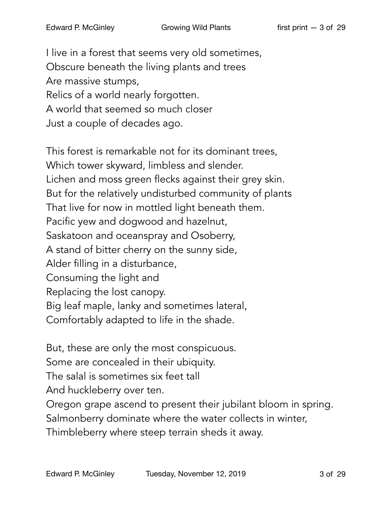I live in a forest that seems very old sometimes, Obscure beneath the living plants and trees Are massive stumps, Relics of a world nearly forgotten. A world that seemed so much closer Just a couple of decades ago.

This forest is remarkable not for its dominant trees, Which tower skyward, limbless and slender. Lichen and moss green flecks against their grey skin. But for the relatively undisturbed community of plants That live for now in mottled light beneath them. Pacific yew and dogwood and hazelnut, Saskatoon and oceanspray and Osoberry, A stand of bitter cherry on the sunny side, Alder filling in a disturbance, Consuming the light and Replacing the lost canopy. Big leaf maple, lanky and sometimes lateral, Comfortably adapted to life in the shade.

But, these are only the most conspicuous.

Some are concealed in their ubiquity.

The salal is sometimes six feet tall

And huckleberry over ten.

Oregon grape ascend to present their jubilant bloom in spring.

Salmonberry dominate where the water collects in winter,

Thimbleberry where steep terrain sheds it away.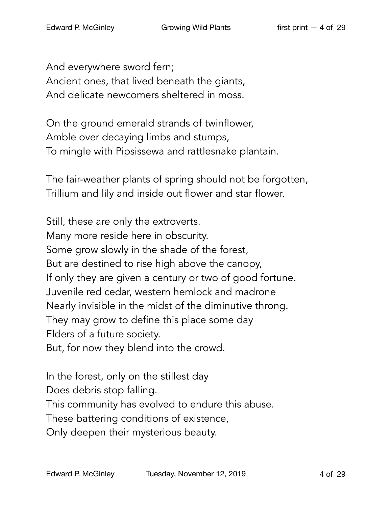And everywhere sword fern; Ancient ones, that lived beneath the giants, And delicate newcomers sheltered in moss.

On the ground emerald strands of twinflower, Amble over decaying limbs and stumps, To mingle with Pipsissewa and rattlesnake plantain.

The fair-weather plants of spring should not be forgotten, Trillium and lily and inside out flower and star flower.

Still, these are only the extroverts. Many more reside here in obscurity. Some grow slowly in the shade of the forest, But are destined to rise high above the canopy, If only they are given a century or two of good fortune. Juvenile red cedar, western hemlock and madrone Nearly invisible in the midst of the diminutive throng. They may grow to define this place some day Elders of a future society. But, for now they blend into the crowd.

In the forest, only on the stillest day

Does debris stop falling.

This community has evolved to endure this abuse.

These battering conditions of existence,

Only deepen their mysterious beauty.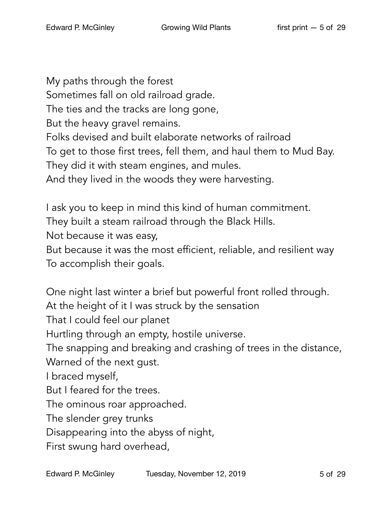My paths through the forest Sometimes fall on old railroad grade. The ties and the tracks are long gone, But the heavy gravel remains. Folks devised and built elaborate networks of railroad To get to those first trees, fell them, and haul them to Mud Bay. They did it with steam engines, and mules. And they lived in the woods they were harvesting.

I ask you to keep in mind this kind of human commitment.

They built a steam railroad through the Black Hills.

Not because it was easy,

But because it was the most efficient, reliable, and resilient way To accomplish their goals.

One night last winter a brief but powerful front rolled through. At the height of it I was struck by the sensation That I could feel our planet Hurtling through an empty, hostile universe. The snapping and breaking and crashing of trees in the distance, Warned of the next gust. I braced myself, But I feared for the trees. The ominous roar approached. The slender grey trunks Disappearing into the abyss of night,

First swung hard overhead,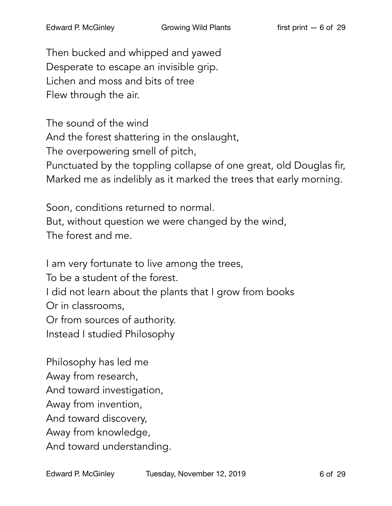Then bucked and whipped and yawed Desperate to escape an invisible grip. Lichen and moss and bits of tree Flew through the air.

The sound of the wind And the forest shattering in the onslaught, The overpowering smell of pitch, Punctuated by the toppling collapse of one great, old Douglas fir, Marked me as indelibly as it marked the trees that early morning.

Soon, conditions returned to normal. But, without question we were changed by the wind, The forest and me.

I am very fortunate to live among the trees,

To be a student of the forest.

I did not learn about the plants that I grow from books

Or in classrooms,

Or from sources of authority.

Instead I studied Philosophy

Philosophy has led me Away from research, And toward investigation, Away from invention, And toward discovery, Away from knowledge,

And toward understanding.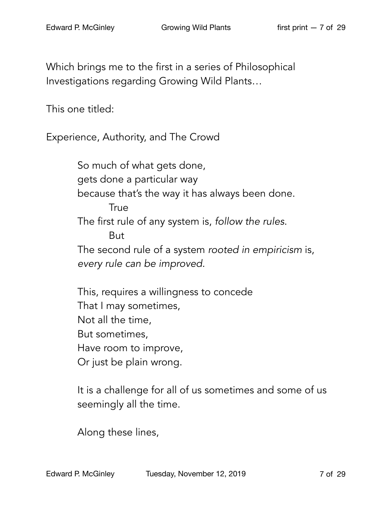Which brings me to the first in a series of Philosophical Investigations regarding Growing Wild Plants…

This one titled:

Experience, Authority, and The Crowd

So much of what gets done, gets done a particular way because that's the way it has always been done. **True** The first rule of any system is, *follow the rules*. But The second rule of a system *rooted in empiricism* is, *every rule can be improved.* 

This, requires a willingness to concede That I may sometimes, Not all the time, But sometimes, Have room to improve, Or just be plain wrong.

It is a challenge for all of us sometimes and some of us seemingly all the time.

Along these lines,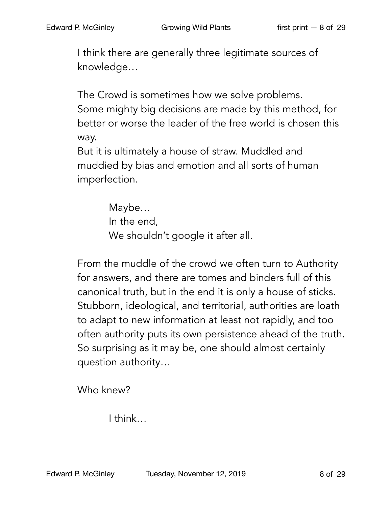I think there are generally three legitimate sources of knowledge…

The Crowd is sometimes how we solve problems. Some mighty big decisions are made by this method, for better or worse the leader of the free world is chosen this way.

But it is ultimately a house of straw. Muddled and muddied by bias and emotion and all sorts of human imperfection.

> Maybe… In the end, We shouldn't google it after all.

From the muddle of the crowd we often turn to Authority for answers, and there are tomes and binders full of this canonical truth, but in the end it is only a house of sticks. Stubborn, ideological, and territorial, authorities are loath to adapt to new information at least not rapidly, and too often authority puts its own persistence ahead of the truth. So surprising as it may be, one should almost certainly question authority…

Who knew?

I think…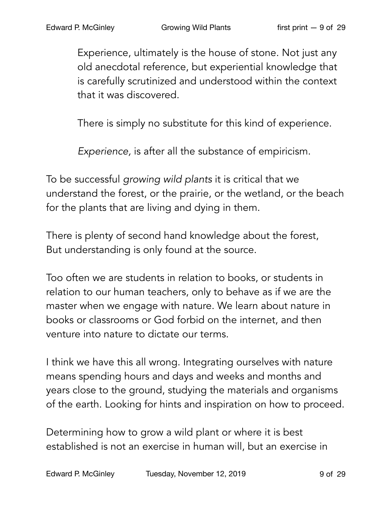Experience, ultimately is the house of stone. Not just any old anecdotal reference, but experiential knowledge that is carefully scrutinized and understood within the context that it was discovered.

There is simply no substitute for this kind of experience.

*Experience,* is after all the substance of empiricism.

To be successful *growing wild plants* it is critical that we understand the forest, or the prairie, or the wetland, or the beach for the plants that are living and dying in them.

There is plenty of second hand knowledge about the forest, But understanding is only found at the source.

Too often we are students in relation to books, or students in relation to our human teachers, only to behave as if we are the master when we engage with nature. We learn about nature in books or classrooms or God forbid on the internet, and then venture into nature to dictate our terms.

I think we have this all wrong. Integrating ourselves with nature means spending hours and days and weeks and months and years close to the ground, studying the materials and organisms of the earth. Looking for hints and inspiration on how to proceed.

Determining how to grow a wild plant or where it is best established is not an exercise in human will, but an exercise in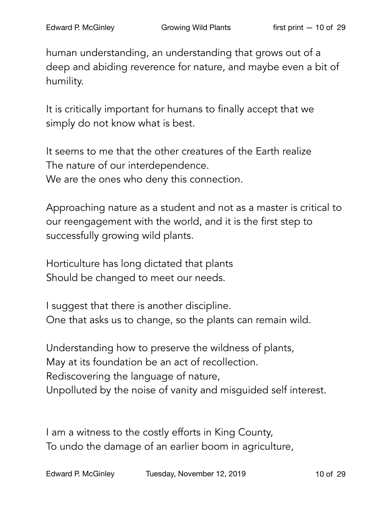human understanding, an understanding that grows out of a deep and abiding reverence for nature, and maybe even a bit of humility.

It is critically important for humans to finally accept that we simply do not know what is best.

It seems to me that the other creatures of the Earth realize The nature of our interdependence. We are the ones who deny this connection.

Approaching nature as a student and not as a master is critical to our reengagement with the world, and it is the first step to successfully growing wild plants.

Horticulture has long dictated that plants Should be changed to meet our needs.

I suggest that there is another discipline. One that asks us to change, so the plants can remain wild.

Understanding how to preserve the wildness of plants, May at its foundation be an act of recollection. Rediscovering the language of nature, Unpolluted by the noise of vanity and misguided self interest.

I am a witness to the costly efforts in King County, To undo the damage of an earlier boom in agriculture,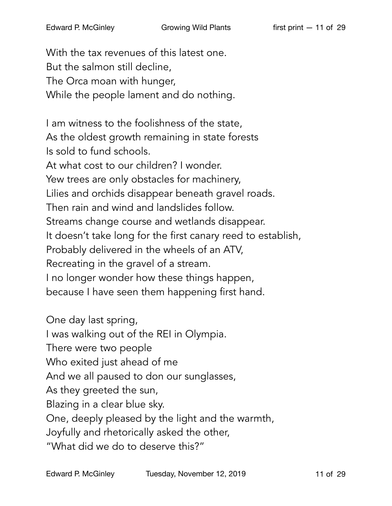With the tax revenues of this latest one. But the salmon still decline, The Orca moan with hunger, While the people lament and do nothing.

I am witness to the foolishness of the state, As the oldest growth remaining in state forests Is sold to fund schools. At what cost to our children? I wonder. Yew trees are only obstacles for machinery, Lilies and orchids disappear beneath gravel roads. Then rain and wind and landslides follow. Streams change course and wetlands disappear. It doesn't take long for the first canary reed to establish, Probably delivered in the wheels of an ATV, Recreating in the gravel of a stream. I no longer wonder how these things happen, because I have seen them happening first hand.

One day last spring, I was walking out of the REI in Olympia. There were two people Who exited just ahead of me And we all paused to don our sunglasses, As they greeted the sun, Blazing in a clear blue sky. One, deeply pleased by the light and the warmth, Joyfully and rhetorically asked the other, "What did we do to deserve this?"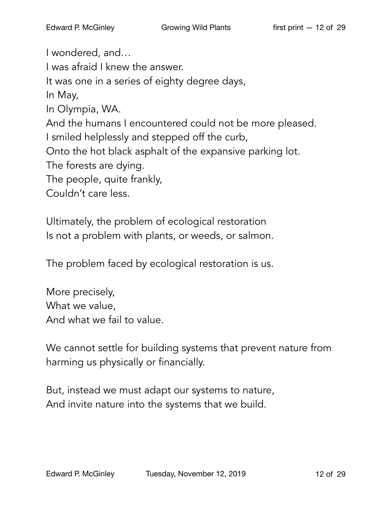I wondered, and… I was afraid I knew the answer. It was one in a series of eighty degree days, In May, In Olympia, WA. And the humans I encountered could not be more pleased. I smiled helplessly and stepped off the curb, Onto the hot black asphalt of the expansive parking lot. The forests are dying. The people, quite frankly, Couldn't care less.

Ultimately, the problem of ecological restoration Is not a problem with plants, or weeds, or salmon.

The problem faced by ecological restoration is us.

More precisely, What we value, And what we fail to value.

We cannot settle for building systems that prevent nature from harming us physically or financially.

But, instead we must adapt our systems to nature, And invite nature into the systems that we build.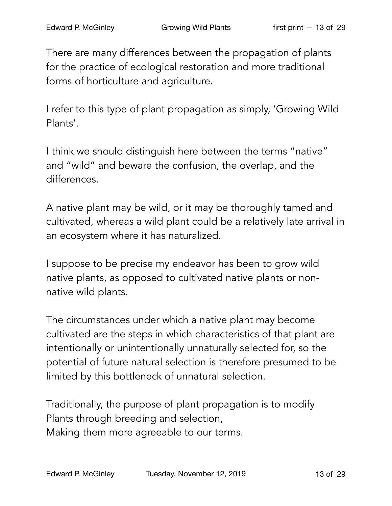There are many differences between the propagation of plants for the practice of ecological restoration and more traditional forms of horticulture and agriculture.

I refer to this type of plant propagation as simply, 'Growing Wild Plants'.

I think we should distinguish here between the terms "native" and "wild" and beware the confusion, the overlap, and the differences.

A native plant may be wild, or it may be thoroughly tamed and cultivated, whereas a wild plant could be a relatively late arrival in an ecosystem where it has naturalized.

I suppose to be precise my endeavor has been to grow wild native plants, as opposed to cultivated native plants or nonnative wild plants.

The circumstances under which a native plant may become cultivated are the steps in which characteristics of that plant are intentionally or unintentionally unnaturally selected for, so the potential of future natural selection is therefore presumed to be limited by this bottleneck of unnatural selection.

Traditionally, the purpose of plant propagation is to modify Plants through breeding and selection, Making them more agreeable to our terms.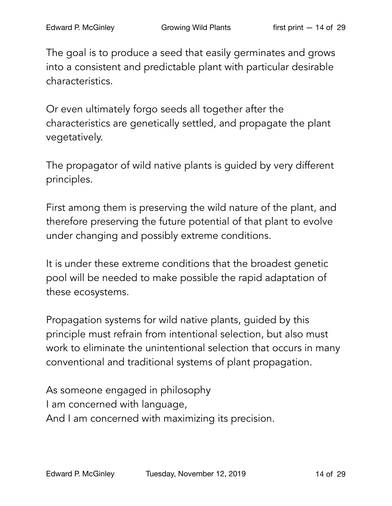The goal is to produce a seed that easily germinates and grows into a consistent and predictable plant with particular desirable characteristics.

Or even ultimately forgo seeds all together after the characteristics are genetically settled, and propagate the plant vegetatively.

The propagator of wild native plants is guided by very different principles.

First among them is preserving the wild nature of the plant, and therefore preserving the future potential of that plant to evolve under changing and possibly extreme conditions.

It is under these extreme conditions that the broadest genetic pool will be needed to make possible the rapid adaptation of these ecosystems.

Propagation systems for wild native plants, guided by this principle must refrain from intentional selection, but also must work to eliminate the unintentional selection that occurs in many conventional and traditional systems of plant propagation.

As someone engaged in philosophy I am concerned with language, And I am concerned with maximizing its precision.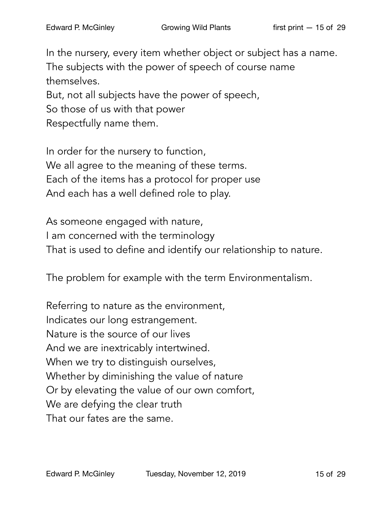In the nursery, every item whether object or subject has a name. The subjects with the power of speech of course name themselves. But, not all subjects have the power of speech, So those of us with that power

Respectfully name them.

In order for the nursery to function, We all agree to the meaning of these terms. Each of the items has a protocol for proper use And each has a well defined role to play.

As someone engaged with nature, I am concerned with the terminology That is used to define and identify our relationship to nature.

The problem for example with the term Environmentalism.

Referring to nature as the environment, Indicates our long estrangement. Nature is the source of our lives And we are inextricably intertwined. When we try to distinguish ourselves, Whether by diminishing the value of nature Or by elevating the value of our own comfort, We are defying the clear truth That our fates are the same.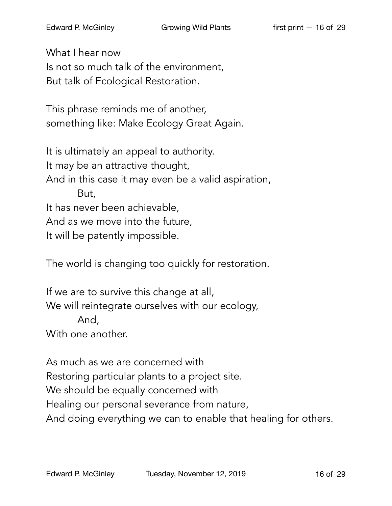What I hear now Is not so much talk of the environment, But talk of Ecological Restoration.

This phrase reminds me of another, something like: Make Ecology Great Again.

It is ultimately an appeal to authority. It may be an attractive thought, And in this case it may even be a valid aspiration, But, It has never been achievable, And as we move into the future, It will be patently impossible.

The world is changing too quickly for restoration.

If we are to survive this change at all, We will reintegrate ourselves with our ecology, And, With one another.

As much as we are concerned with Restoring particular plants to a project site. We should be equally concerned with Healing our personal severance from nature, And doing everything we can to enable that healing for others.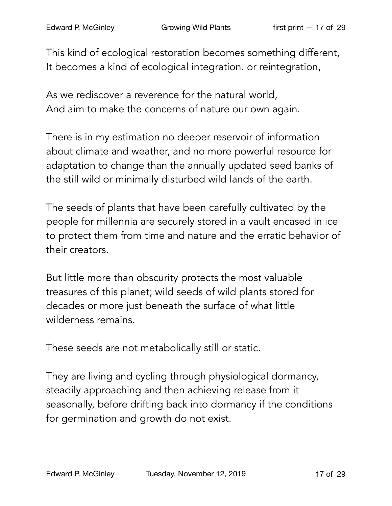This kind of ecological restoration becomes something different, It becomes a kind of ecological integration. or reintegration,

As we rediscover a reverence for the natural world, And aim to make the concerns of nature our own again.

There is in my estimation no deeper reservoir of information about climate and weather, and no more powerful resource for adaptation to change than the annually updated seed banks of the still wild or minimally disturbed wild lands of the earth.

The seeds of plants that have been carefully cultivated by the people for millennia are securely stored in a vault encased in ice to protect them from time and nature and the erratic behavior of their creators.

But little more than obscurity protects the most valuable treasures of this planet; wild seeds of wild plants stored for decades or more just beneath the surface of what little wilderness remains.

These seeds are not metabolically still or static.

They are living and cycling through physiological dormancy, steadily approaching and then achieving release from it seasonally, before drifting back into dormancy if the conditions for germination and growth do not exist.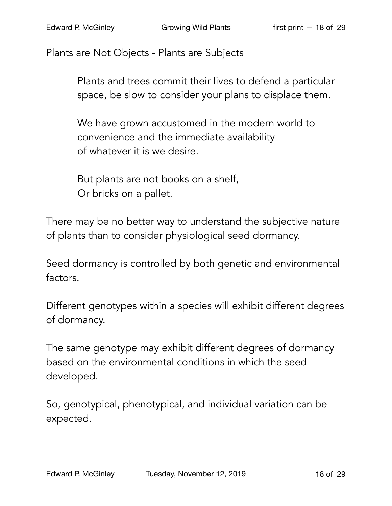Plants are Not Objects - Plants are Subjects

Plants and trees commit their lives to defend a particular space, be slow to consider your plans to displace them.

We have grown accustomed in the modern world to convenience and the immediate availability of whatever it is we desire.

But plants are not books on a shelf, Or bricks on a pallet.

There may be no better way to understand the subjective nature of plants than to consider physiological seed dormancy.

Seed dormancy is controlled by both genetic and environmental factors.

Different genotypes within a species will exhibit different degrees of dormancy.

The same genotype may exhibit different degrees of dormancy based on the environmental conditions in which the seed developed.

So, genotypical, phenotypical, and individual variation can be expected.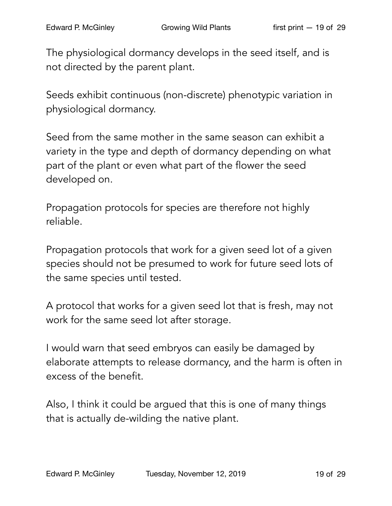The physiological dormancy develops in the seed itself, and is not directed by the parent plant.

Seeds exhibit continuous (non-discrete) phenotypic variation in physiological dormancy.

Seed from the same mother in the same season can exhibit a variety in the type and depth of dormancy depending on what part of the plant or even what part of the flower the seed developed on.

Propagation protocols for species are therefore not highly reliable.

Propagation protocols that work for a given seed lot of a given species should not be presumed to work for future seed lots of the same species until tested.

A protocol that works for a given seed lot that is fresh, may not work for the same seed lot after storage.

I would warn that seed embryos can easily be damaged by elaborate attempts to release dormancy, and the harm is often in excess of the benefit.

Also, I think it could be argued that this is one of many things that is actually de-wilding the native plant.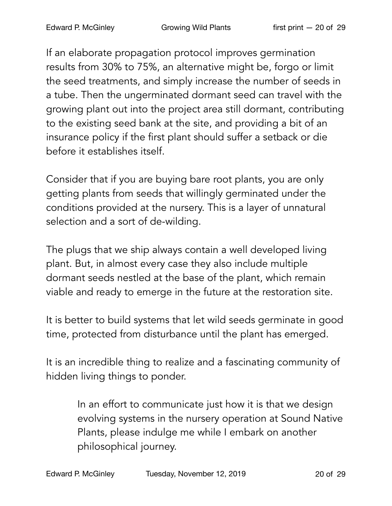If an elaborate propagation protocol improves germination results from 30% to 75%, an alternative might be, forgo or limit the seed treatments, and simply increase the number of seeds in a tube. Then the ungerminated dormant seed can travel with the growing plant out into the project area still dormant, contributing to the existing seed bank at the site, and providing a bit of an insurance policy if the first plant should suffer a setback or die before it establishes itself.

Consider that if you are buying bare root plants, you are only getting plants from seeds that willingly germinated under the conditions provided at the nursery. This is a layer of unnatural selection and a sort of de-wilding.

The plugs that we ship always contain a well developed living plant. But, in almost every case they also include multiple dormant seeds nestled at the base of the plant, which remain viable and ready to emerge in the future at the restoration site.

It is better to build systems that let wild seeds germinate in good time, protected from disturbance until the plant has emerged.

It is an incredible thing to realize and a fascinating community of hidden living things to ponder.

> In an effort to communicate just how it is that we design evolving systems in the nursery operation at Sound Native Plants, please indulge me while I embark on another philosophical journey.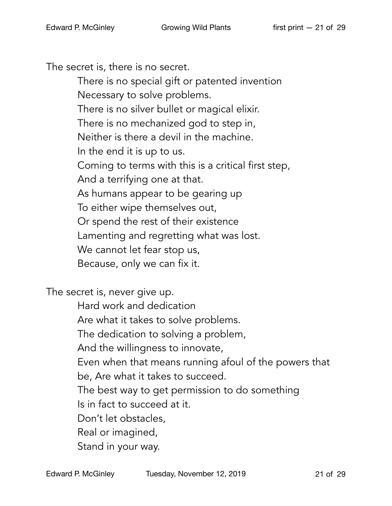The secret is, there is no secret.

There is no special gift or patented invention Necessary to solve problems. There is no silver bullet or magical elixir. There is no mechanized god to step in, Neither is there a devil in the machine. In the end it is up to us. Coming to terms with this is a critical first step, And a terrifying one at that. As humans appear to be gearing up To either wipe themselves out, Or spend the rest of their existence Lamenting and regretting what was lost. We cannot let fear stop us, Because, only we can fix it.

The secret is, never give up.

Hard work and dedication

Are what it takes to solve problems.

The dedication to solving a problem,

And the willingness to innovate,

Even when that means running afoul of the powers that

be, Are what it takes to succeed.

The best way to get permission to do something

Is in fact to succeed at it.

Don't let obstacles,

Real or imagined,

Stand in your way.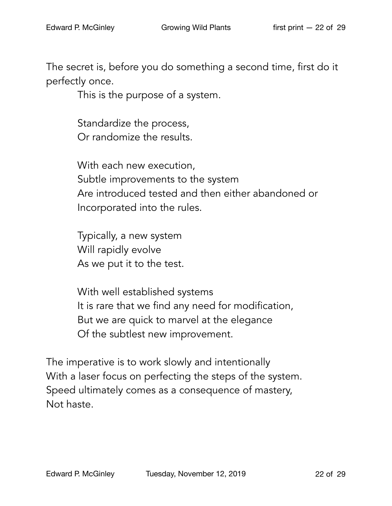The secret is, before you do something a second time, first do it perfectly once.

This is the purpose of a system.

Standardize the process, Or randomize the results.

With each new execution, Subtle improvements to the system Are introduced tested and then either abandoned or Incorporated into the rules.

Typically, a new system Will rapidly evolve As we put it to the test.

With well established systems It is rare that we find any need for modification, But we are quick to marvel at the elegance Of the subtlest new improvement.

The imperative is to work slowly and intentionally With a laser focus on perfecting the steps of the system. Speed ultimately comes as a consequence of mastery, Not haste.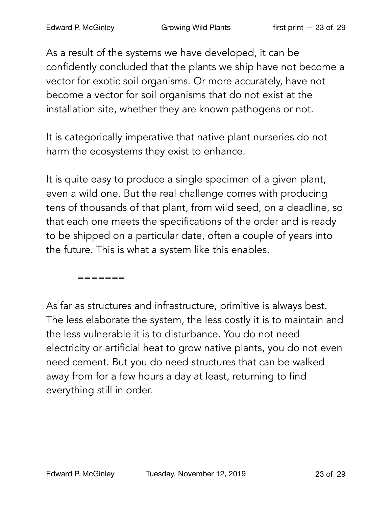As a result of the systems we have developed, it can be confidently concluded that the plants we ship have not become a vector for exotic soil organisms. Or more accurately, have not become a vector for soil organisms that do not exist at the installation site, whether they are known pathogens or not.

It is categorically imperative that native plant nurseries do not harm the ecosystems they exist to enhance.

It is quite easy to produce a single specimen of a given plant, even a wild one. But the real challenge comes with producing tens of thousands of that plant, from wild seed, on a deadline, so that each one meets the specifications of the order and is ready to be shipped on a particular date, often a couple of years into the future. This is what a system like this enables.

=======

As far as structures and infrastructure, primitive is always best. The less elaborate the system, the less costly it is to maintain and the less vulnerable it is to disturbance. You do not need electricity or artificial heat to grow native plants, you do not even need cement. But you do need structures that can be walked away from for a few hours a day at least, returning to find everything still in order.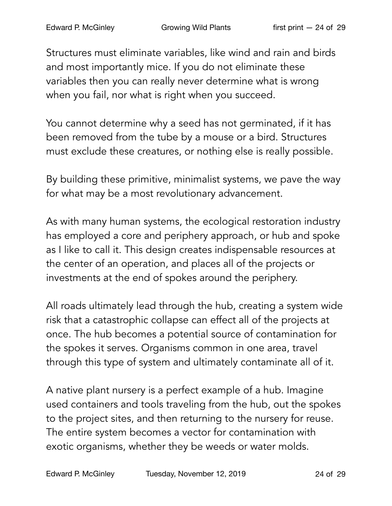Structures must eliminate variables, like wind and rain and birds and most importantly mice. If you do not eliminate these variables then you can really never determine what is wrong when you fail, nor what is right when you succeed.

You cannot determine why a seed has not germinated, if it has been removed from the tube by a mouse or a bird. Structures must exclude these creatures, or nothing else is really possible.

By building these primitive, minimalist systems, we pave the way for what may be a most revolutionary advancement.

As with many human systems, the ecological restoration industry has employed a core and periphery approach, or hub and spoke as I like to call it. This design creates indispensable resources at the center of an operation, and places all of the projects or investments at the end of spokes around the periphery.

All roads ultimately lead through the hub, creating a system wide risk that a catastrophic collapse can effect all of the projects at once. The hub becomes a potential source of contamination for the spokes it serves. Organisms common in one area, travel through this type of system and ultimately contaminate all of it.

A native plant nursery is a perfect example of a hub. Imagine used containers and tools traveling from the hub, out the spokes to the project sites, and then returning to the nursery for reuse. The entire system becomes a vector for contamination with exotic organisms, whether they be weeds or water molds.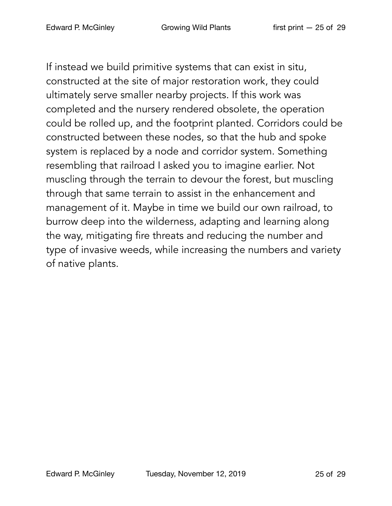If instead we build primitive systems that can exist in situ, constructed at the site of major restoration work, they could ultimately serve smaller nearby projects. If this work was completed and the nursery rendered obsolete, the operation could be rolled up, and the footprint planted. Corridors could be constructed between these nodes, so that the hub and spoke system is replaced by a node and corridor system. Something resembling that railroad I asked you to imagine earlier. Not muscling through the terrain to devour the forest, but muscling through that same terrain to assist in the enhancement and management of it. Maybe in time we build our own railroad, to burrow deep into the wilderness, adapting and learning along the way, mitigating fire threats and reducing the number and type of invasive weeds, while increasing the numbers and variety of native plants.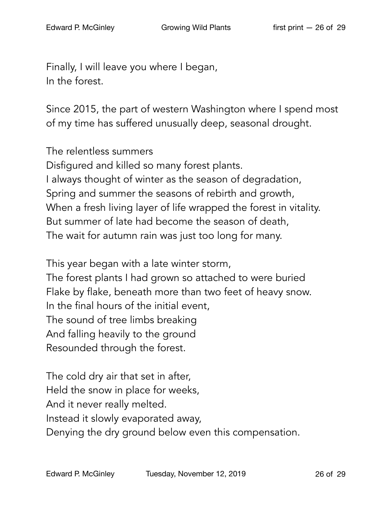Finally, I will leave you where I began, In the forest.

Since 2015, the part of western Washington where I spend most of my time has suffered unusually deep, seasonal drought.

The relentless summers Disfigured and killed so many forest plants. I always thought of winter as the season of degradation, Spring and summer the seasons of rebirth and growth, When a fresh living layer of life wrapped the forest in vitality. But summer of late had become the season of death, The wait for autumn rain was just too long for many.

This year began with a late winter storm,

The forest plants I had grown so attached to were buried Flake by flake, beneath more than two feet of heavy snow. In the final hours of the initial event, The sound of tree limbs breaking

And falling heavily to the ground

Resounded through the forest.

The cold dry air that set in after, Held the snow in place for weeks, And it never really melted. Instead it slowly evaporated away, Denying the dry ground below even this compensation.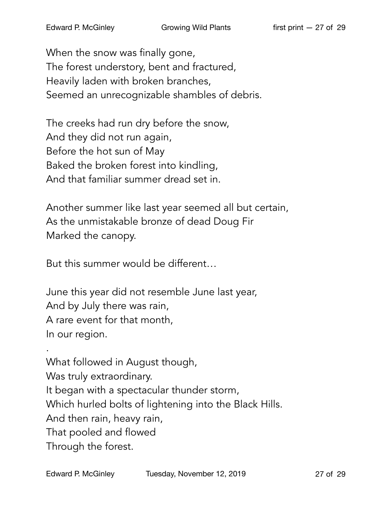When the snow was finally gone, The forest understory, bent and fractured, Heavily laden with broken branches, Seemed an unrecognizable shambles of debris.

The creeks had run dry before the snow, And they did not run again, Before the hot sun of May Baked the broken forest into kindling, And that familiar summer dread set in.

Another summer like last year seemed all but certain, As the unmistakable bronze of dead Doug Fir Marked the canopy.

But this summer would be different…

June this year did not resemble June last year, And by July there was rain, A rare event for that month, In our region.

. What followed in August though, Was truly extraordinary. It began with a spectacular thunder storm, Which hurled bolts of lightening into the Black Hills. And then rain, heavy rain, That pooled and flowed Through the forest.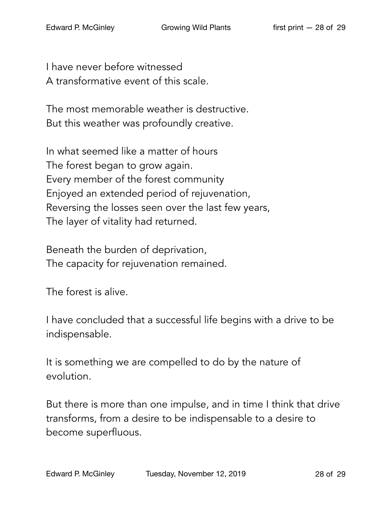I have never before witnessed A transformative event of this scale.

The most memorable weather is destructive. But this weather was profoundly creative.

In what seemed like a matter of hours The forest began to grow again. Every member of the forest community Enjoyed an extended period of rejuvenation, Reversing the losses seen over the last few years, The layer of vitality had returned.

Beneath the burden of deprivation, The capacity for rejuvenation remained.

The forest is alive.

I have concluded that a successful life begins with a drive to be indispensable.

It is something we are compelled to do by the nature of evolution.

But there is more than one impulse, and in time I think that drive transforms, from a desire to be indispensable to a desire to become superfluous.